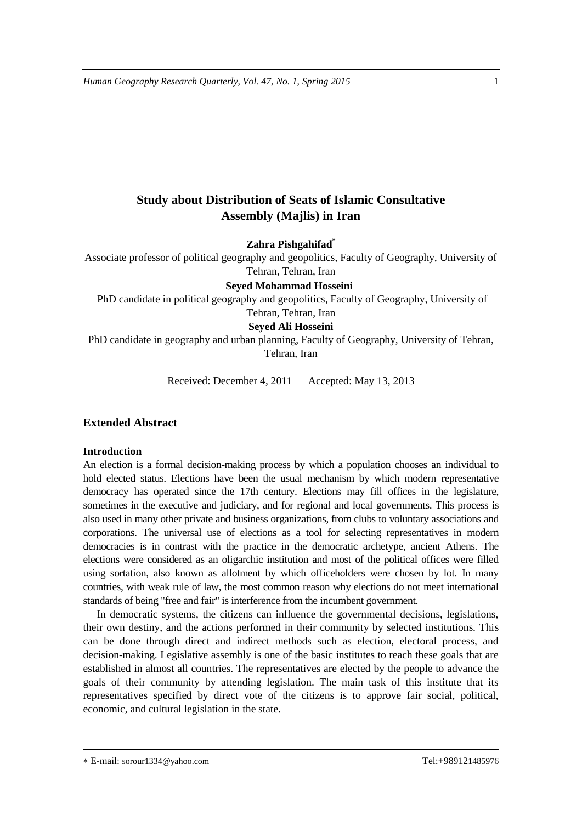# **Study about Distribution of Seats of Islamic Consultative Assembly (Majlis) in Iran**

**Zahra Pishgahifad \***

Associate professor of political geography and geopolitics, Faculty of Geography, University of Tehran, Tehran, Iran

**Seyed Mohammad Hosseini**

PhD candidate in political geography and geopolitics, Faculty of Geography, University of Tehran, Tehran, Iran

## **Seyed Ali Hosseini**

PhD candidate in geography and urban planning, Faculty of Geography, University of Tehran, Tehran, Iran

Received: December 4, 2011 Accepted: May 13, 2013

## **Extended Abstract**

#### **Introduction**

An election is a formal decision-making process by which a population chooses an individual to hold elected status. Elections have been the usual mechanism by which modern representative democracy has operated since the 17th century. Elections may fill offices in the legislature, sometimes in the executive and judiciary, and for regional and local governments. This process is also used in many other private and business organizations, from clubs to voluntary associations and corporations. The universal use of elections as a tool for selecting representatives in modern democracies is in contrast with the practice in the democratic archetype, ancient Athens. The elections were considered as an oligarchic institution and most of the political offices were filled using sortation, also known as allotment by which officeholders were chosen by lot. In many countries, with weak rule of law, the most common reason why elections do not meet international standards of being "free and fair" is interference from the incumbent government.

In democratic systems, the citizens can influence the governmental decisions, legislations, their own destiny, and the actions performed in their community by selected institutions. This can be done through direct and indirect methods such as election, electoral process, and decision-making. Legislative assembly is one of the basic institutes to reach these goals that are established in almost all countries. The representatives are elected by the people to advance the goals of their community by attending legislation. The main task of this institute that its representatives specified by direct vote of the citizens is to approve fair social, political, economic, and cultural legislation in the state.

E-mail: sorour1334@yahoo.com Tel:+989121485976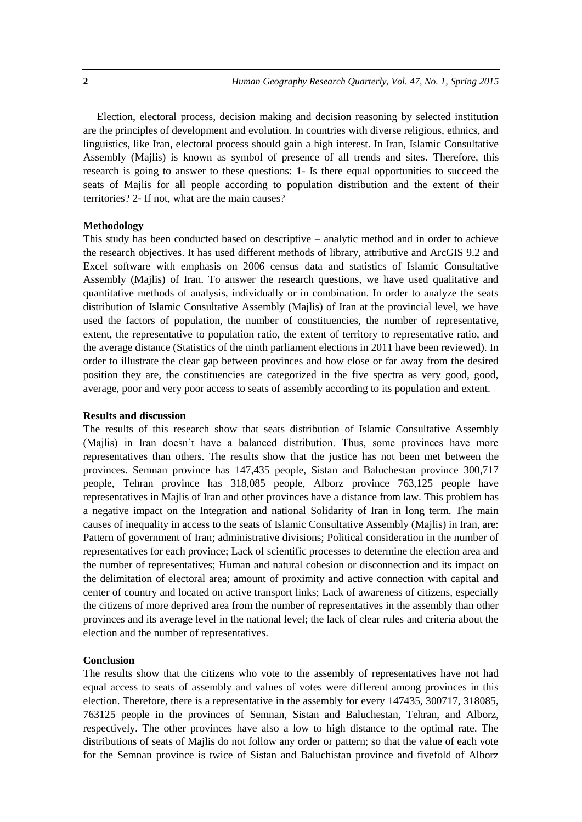Election, electoral process, decision making and decision reasoning by selected institution are the principles of development and evolution. In countries with diverse religious, ethnics, and linguistics, like Iran, electoral process should gain a high interest. In Iran, Islamic Consultative Assembly (Majlis) is known as symbol of presence of all trends and sites. Therefore, this research is going to answer to these questions: 1- Is there equal opportunities to succeed the seats of Majlis for all people according to population distribution and the extent of their territories? 2- If not, what are the main causes?

#### **Methodology**

This study has been conducted based on descriptive – analytic method and in order to achieve the research objectives. It has used different methods of library, attributive and ArcGIS 9.2 and Excel software with emphasis on 2006 census data and statistics of Islamic Consultative Assembly (Majlis) of Iran. To answer the research questions, we have used qualitative and quantitative methods of analysis, individually or in combination. In order to analyze the seats distribution of Islamic Consultative Assembly (Majlis) of Iran at the provincial level, we have used the factors of population, the number of constituencies, the number of representative, extent, the representative to population ratio, the extent of territory to representative ratio, and the average distance (Statistics of the ninth parliament elections in 2011 have been reviewed). In order to illustrate the clear gap between provinces and how close or far away from the desired position they are, the constituencies are categorized in the five spectra as very good, good, average, poor and very poor access to seats of assembly according to its population and extent.

#### **Results and discussion**

The results of this research show that seats distribution of Islamic Consultative Assembly (Majlis) in Iran doesn't have a balanced distribution. Thus, some provinces have more representatives than others. The results show that the justice has not been met between the provinces. Semnan province has 147,435 people, Sistan and Baluchestan province 300,717 people, Tehran province has 318,085 people, Alborz province 763,125 people have representatives in Majlis of Iran and other provinces have a distance from law. This problem has a negative impact on the Integration and national Solidarity of Iran in long term. The main causes of inequality in access to the seats of Islamic Consultative Assembly (Majlis) in Iran, are: Pattern of government of Iran; administrative divisions; Political consideration in the number of representatives for each province; Lack of scientific processes to determine the election area and the number of representatives; Human and natural cohesion or disconnection and its impact on the delimitation of electoral area; amount of proximity and active connection with capital and center of country and located on active transport links; Lack of awareness of citizens, especially the citizens of more deprived area from the number of representatives in the assembly than other provinces and its average level in the national level; the lack of clear rules and criteria about the election and the number of representatives.

#### **Conclusion**

The results show that the citizens who vote to the assembly of representatives have not had equal access to seats of assembly and values of votes were different among provinces in this election. Therefore, there is a representative in the assembly for every 147435, 300717, 318085, 763125 people in the provinces of Semnan, Sistan and Baluchestan, Tehran, and Alborz, respectively. The other provinces have also a low to high distance to the optimal rate. The distributions of seats of Majlis do not follow any order or pattern; so that the value of each vote for the Semnan province is twice of Sistan and Baluchistan province and fivefold of Alborz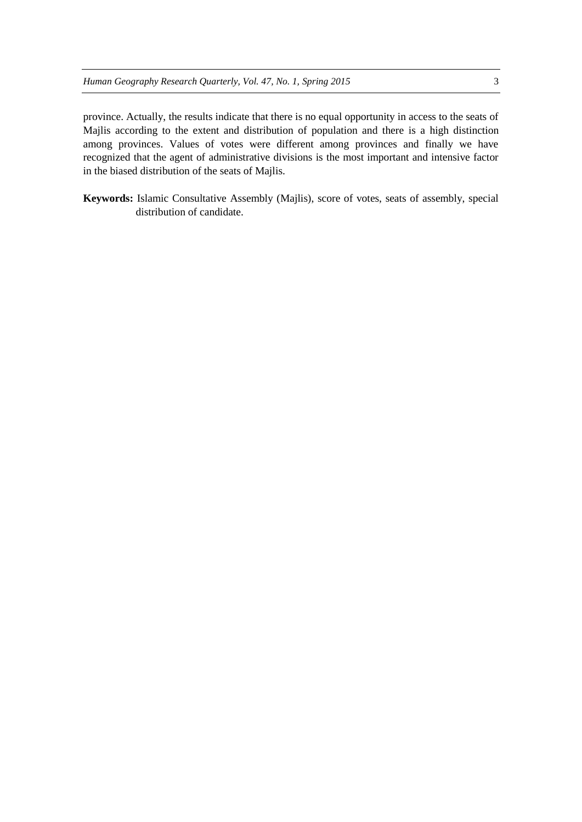province. Actually, the results indicate that there is no equal opportunity in access to the seats of Majlis according to the extent and distribution of population and there is a high distinction among provinces. Values of votes were different among provinces and finally we have recognized that the agent of administrative divisions is the most important and intensive factor in the biased distribution of the seats of Majlis.

**Keywords:** Islamic Consultative Assembly (Majlis), score of votes, seats of assembly, special distribution of candidate.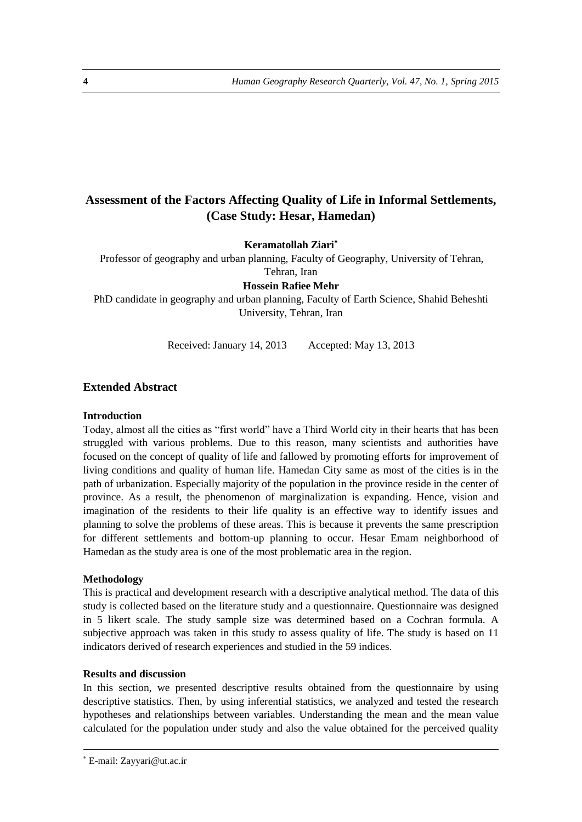# **Assessment of the Factors Affecting Quality of Life in Informal Settlements, (Case Study: Hesar, Hamedan)**

**Keramatollah Ziari**

Professor of geography and urban planning, Faculty of Geography, University of Tehran, Tehran, Iran

**Hossein Rafiee Mehr**

PhD candidate in geography and urban planning, Faculty of Earth Science, Shahid Beheshti University, Tehran, Iran

Received: January 14, 2013 Accepted: May 13, 2013

## **Extended Abstract**

#### **Introduction**

Today, almost all the cities as "first world" have a Third World city in their hearts that has been struggled with various problems. Due to this reason, many scientists and authorities have focused on the concept of quality of life and fallowed by promoting efforts for improvement of living conditions and quality of human life. Hamedan City same as most of the cities is in the path of urbanization. Especially majority of the population in the province reside in the center of province. As a result, the phenomenon of marginalization is expanding. Hence, vision and imagination of the residents to their life quality is an effective way to identify issues and planning to solve the problems of these areas. This is because it prevents the same prescription for different settlements and bottom-up planning to occur. Hesar Emam neighborhood of Hamedan as the study area is one of the most problematic area in the region.

#### **Methodology**

This is practical and development research with a descriptive analytical method. The data of this study is collected based on the literature study and a questionnaire. Questionnaire was designed in 5 likert scale. The study sample size was determined based on a Cochran formula. A subjective approach was taken in this study to assess quality of life. The study is based on 11 indicators derived of research experiences and studied in the 59 indices.

#### **Results and discussion**

In this section, we presented descriptive results obtained from the questionnaire by using descriptive statistics. Then, by using inferential statistics, we analyzed and tested the research hypotheses and relationships between variables. Understanding the mean and the mean value calculated for the population under study and also the value obtained for the perceived quality

E-mail: Zayyari@ut.ac.ir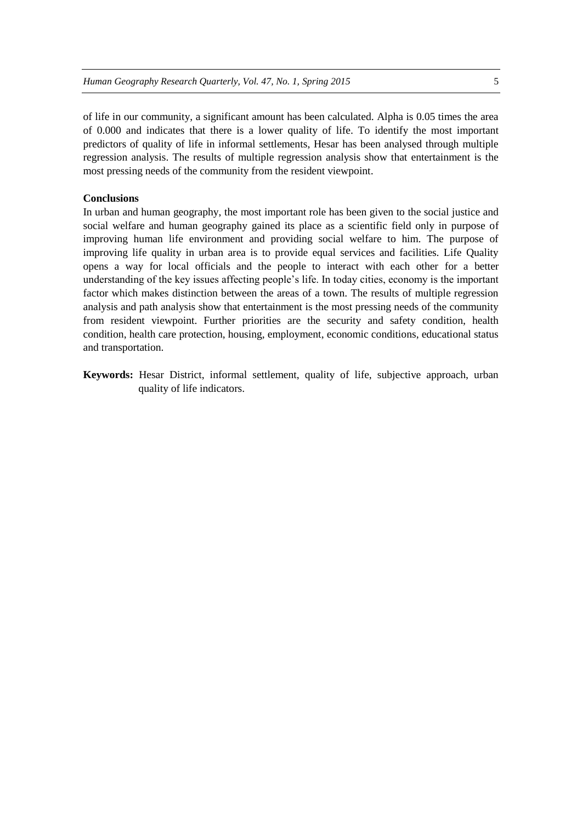of life in our community, a significant amount has been calculated. Alpha is 0.05 times the area of 0.000 and indicates that there is a lower quality of life. To identify the most important predictors of quality of life in informal settlements, Hesar has been analysed through multiple regression analysis. The results of multiple regression analysis show that entertainment is the most pressing needs of the community from the resident viewpoint.

#### **Conclusions**

In urban and human geography, the most important role has been given to the social justice and social welfare and human geography gained its place as a scientific field only in purpose of improving human life environment and providing social welfare to him. The purpose of improving life quality in urban area is to provide equal services and facilities. Life Quality opens a way for local officials and the people to interact with each other for a better understanding of the key issues affecting people's life. In today cities, economy is the important factor which makes distinction between the areas of a town. The results of multiple regression analysis and path analysis show that entertainment is the most pressing needs of the community from resident viewpoint. Further priorities are the security and safety condition, health condition, health care protection, housing, employment, economic conditions, educational status and transportation.

**Keywords:** Hesar District, informal settlement, quality of life, subjective approach, urban quality of life indicators.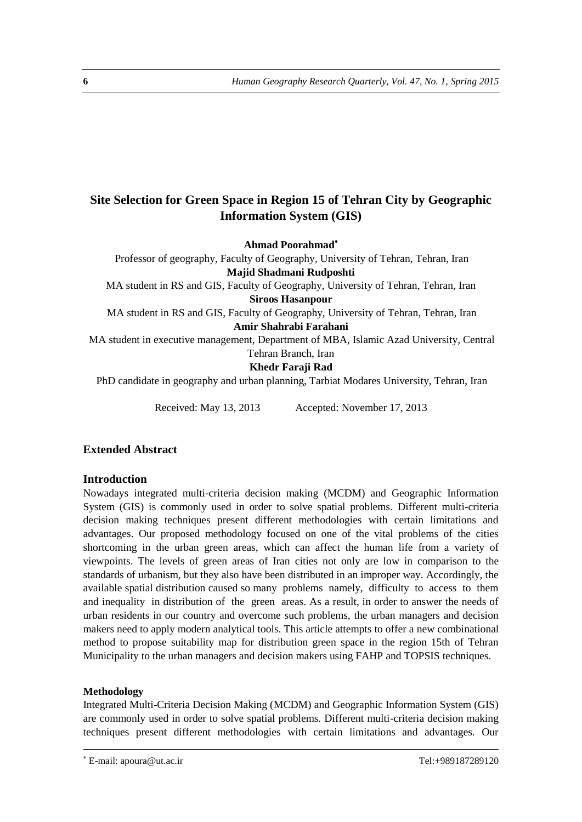# **Site Selection for Green Space in Region 15 of Tehran City by Geographic Information System (GIS)**

**Ahmad Poorahmad**

Professor of geography, Faculty of Geography, University of Tehran, Tehran, Iran **Majid Shadmani Rudposhti** 

MA student in RS and GIS, Faculty of Geography, University of Tehran, Tehran, Iran

**Siroos Hasanpour**

MA student in RS and GIS, Faculty of Geography, University of Tehran, Tehran, Iran **Amir Shahrabi Farahani**

MA student in executive management, Department of MBA, Islamic Azad University, Central

#### Tehran Branch, Iran **Khedr Faraji Rad**

PhD candidate in geography and urban planning, Tarbiat Modares University, Tehran, Iran

Received: May 13, 2013 Accepted: November 17, 2013

# **Extended Abstract**

# **Introduction**

Nowadays integrated multi-criteria decision making (MCDM) and Geographic Information System (GIS) is commonly used in order to solve spatial problems. Different multi-criteria decision making techniques present different methodologies with certain limitations and advantages. Our proposed methodology focused on one of the vital problems of the cities shortcoming in the urban green areas, which can affect the human life from a variety of viewpoints. The levels of green areas of Iran cities not only are low in comparison to the standards of urbanism, but they also have been distributed in an improper way. Accordingly, the available spatial distribution caused so many problems namely, difficulty to access to them and inequality in distribution of the green areas. As a result, in order to answer the needs of urban residents in our country and overcome such problems, the urban managers and decision makers need to apply modern analytical tools. This article attempts to offer a new combinational method to propose suitability map for distribution green space in the region 15th of Tehran Municipality to the urban managers and decision makers using FAHP and TOPSIS techniques.

# **Methodology**

**.** 

Integrated Multi-Criteria Decision Making (MCDM) and Geographic Information System (GIS) are commonly used in order to solve spatial problems. Different multi-criteria decision making techniques present different methodologies with certain limitations and advantages. Our

E-mail: apoura@ut.ac.ir Tel:+989187289120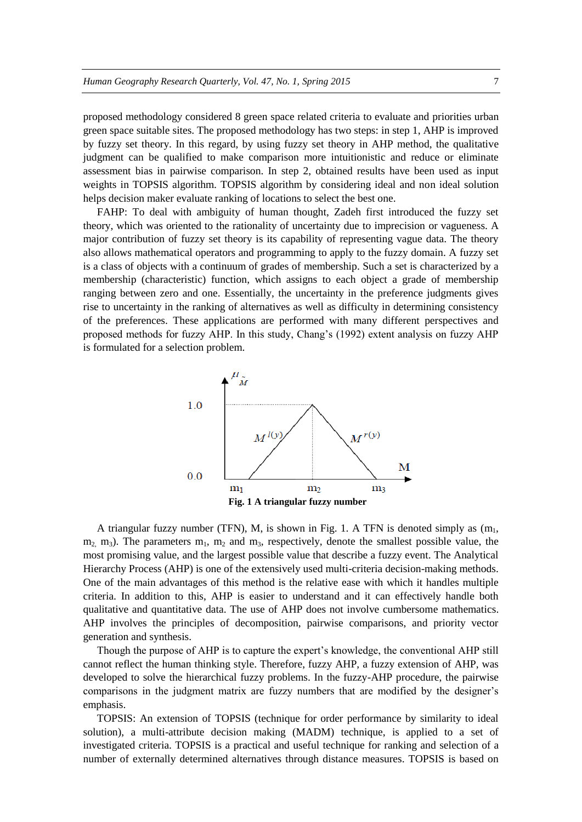proposed methodology considered 8 green space related criteria to evaluate and priorities urban green space suitable sites. The proposed methodology has two steps: in step 1, AHP is improved by fuzzy set theory. In this regard, by using fuzzy set theory in AHP method, the qualitative judgment can be qualified to make comparison more intuitionistic and reduce or eliminate assessment bias in pairwise comparison. In step 2, obtained results have been used as input weights in TOPSIS algorithm. TOPSIS algorithm by considering ideal and non ideal solution helps decision maker evaluate ranking of locations to select the best one.

FAHP: To deal with ambiguity of human thought, Zadeh first introduced the fuzzy set theory, which was oriented to the rationality of uncertainty due to imprecision or vagueness. A major contribution of fuzzy set theory is its capability of representing vague data. The theory also allows mathematical operators and programming to apply to the fuzzy domain. A fuzzy set is a class of objects with a continuum of grades of membership. Such a set is characterized by a membership (characteristic) function, which assigns to each object a grade of membership ranging between zero and one. Essentially, the uncertainty in the preference judgments gives rise to uncertainty in the ranking of alternatives as well as difficulty in determining consistency of the preferences. These applications are performed with many different perspectives and proposed methods for fuzzy AHP. In this study, Chang's (1992) extent analysis on fuzzy AHP is formulated for a selection problem.



A triangular fuzzy number (TFN), M, is shown in Fig. 1. A TFN is denoted simply as  $(m_1,$  $m_2$ ,  $m_3$ ). The parameters  $m_1$ ,  $m_2$  and  $m_3$ , respectively, denote the smallest possible value, the most promising value, and the largest possible value that describe a fuzzy event. The Analytical Hierarchy Process (AHP) is one of the extensively used multi-criteria decision-making methods. One of the main advantages of this method is the relative ease with which it handles multiple criteria. In addition to this, AHP is easier to understand and it can effectively handle both qualitative and quantitative data. The use of AHP does not involve cumbersome mathematics. AHP involves the principles of decomposition, pairwise comparisons, and priority vector generation and synthesis.

Though the purpose of AHP is to capture the expert's knowledge, the conventional AHP still cannot reflect the human thinking style. Therefore, fuzzy AHP, a fuzzy extension of AHP, was developed to solve the hierarchical fuzzy problems. In the fuzzy-AHP procedure, the pairwise comparisons in the judgment matrix are fuzzy numbers that are modified by the designer's emphasis.

TOPSIS: An extension of TOPSIS (technique for order performance by similarity to ideal solution), a multi-attribute decision making (MADM) technique, is applied to a set of investigated criteria. TOPSIS is a practical and useful technique for ranking and selection of a number of externally determined alternatives through distance measures. TOPSIS is based on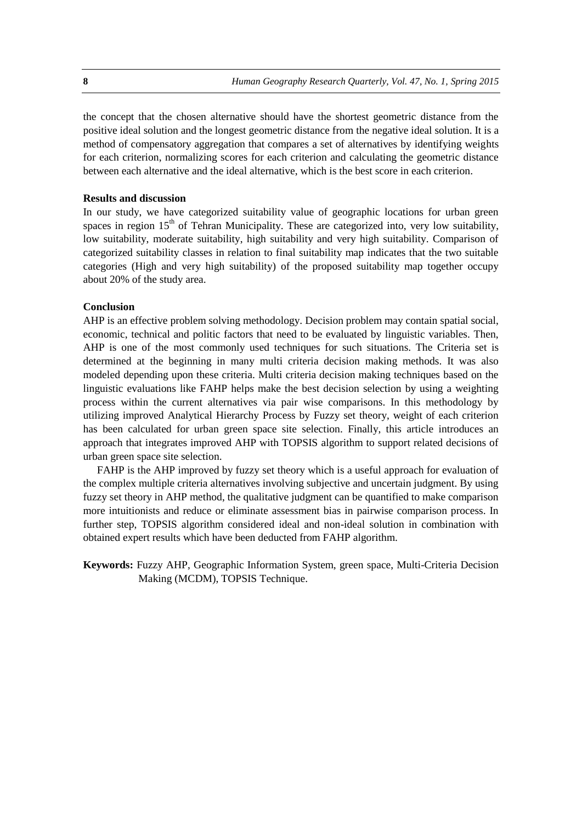the concept that the chosen alternative should have the shortest geometric distance from the positive ideal solution and the longest geometric distance from the negative ideal solution. It is a method of compensatory aggregation that compares a set of alternatives by identifying weights for each criterion, normalizing scores for each criterion and calculating the geometric distance between each alternative and the ideal alternative, which is the best score in each criterion.

## **Results and discussion**

In our study, we have categorized suitability value of geographic locations for urban green spaces in region  $15<sup>th</sup>$  of Tehran Municipality. These are categorized into, very low suitability, low suitability, moderate suitability, high suitability and very high suitability. Comparison of categorized suitability classes in relation to final suitability map indicates that the two suitable categories (High and very high suitability) of the proposed suitability map together occupy about 20% of the study area.

#### **Conclusion**

AHP is an effective problem solving methodology. Decision problem may contain spatial social, economic, technical and politic factors that need to be evaluated by linguistic variables. Then, AHP is one of the most commonly used techniques for such situations. The Criteria set is determined at the beginning in many multi criteria decision making methods. It was also modeled depending upon these criteria. Multi criteria decision making techniques based on the linguistic evaluations like FAHP helps make the best decision selection by using a weighting process within the current alternatives via pair wise comparisons. In this methodology by utilizing improved Analytical Hierarchy Process by Fuzzy set theory, weight of each criterion has been calculated for urban green space site selection. Finally, this article introduces an approach that integrates improved AHP with TOPSIS algorithm to support related decisions of urban green space site selection.

FAHP is the AHP improved by fuzzy set theory which is a useful approach for evaluation of the complex multiple criteria alternatives involving subjective and uncertain judgment. By using fuzzy set theory in AHP method, the qualitative judgment can be quantified to make comparison more intuitionists and reduce or eliminate assessment bias in pairwise comparison process. In further step, TOPSIS algorithm considered ideal and non-ideal solution in combination with obtained expert results which have been deducted from FAHP algorithm.

**Keywords:** Fuzzy AHP, Geographic Information System, green space, Multi-Criteria Decision Making (MCDM), TOPSIS Technique.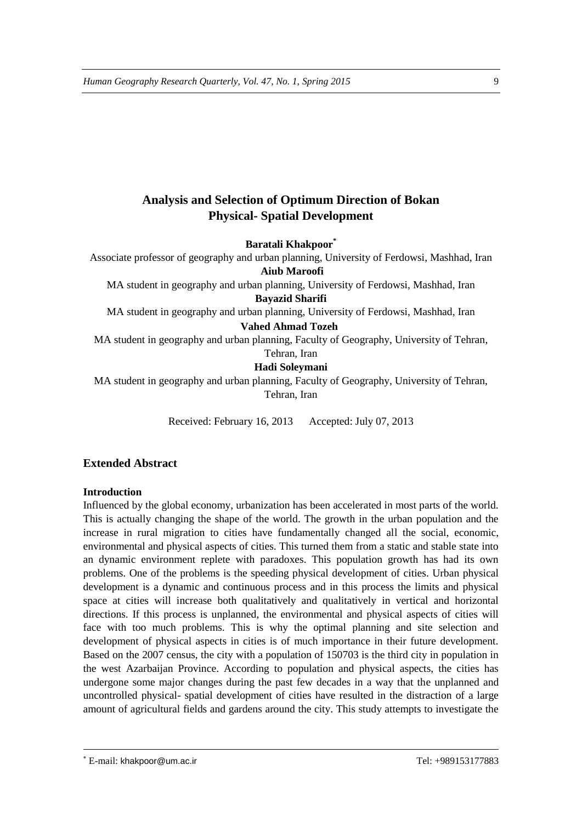# **Analysis and Selection of Optimum Direction of Bokan Physical- Spatial Development**

**Baratali Khakpoor\***

Associate professor of geography and urban planning, University of Ferdowsi, Mashhad, Iran **Aiub Maroofi** 

MA student in geography and urban planning, University of Ferdowsi, Mashhad, Iran

**Bayazid Sharifi** 

MA student in geography and urban planning, University of Ferdowsi, Mashhad, Iran

# **Vahed Ahmad Tozeh**

MA student in geography and urban planning, Faculty of Geography, University of Tehran, Tehran, Iran

# **Hadi Soleymani**

MA student in geography and urban planning, Faculty of Geography, University of Tehran, Tehran, Iran

Received: February 16, 2013 Accepted: July 07, 2013

# **Extended Abstract**

# **Introduction**

Influenced by the global economy, urbanization has been accelerated in most parts of the world. This is actually changing the shape of the world. The growth in the urban population and the increase in rural migration to cities have fundamentally changed all the social, economic, environmental and physical aspects of cities. This turned them from a static and stable state into an dynamic environment replete with paradoxes. This population growth has had its own problems. One of the problems is the speeding physical development of cities. Urban physical development is a dynamic and continuous process and in this process the limits and physical space at cities will increase both qualitatively and qualitatively in vertical and horizontal directions. If this process is unplanned, the environmental and physical aspects of cities will face with too much problems. This is why the optimal planning and site selection and development of physical aspects in cities is of much importance in their future development. Based on the 2007 census, the city with a population of 150703 is the third city in population in the west Azarbaijan Province. According to population and physical aspects, the cities has undergone some major changes during the past few decades in a way that the unplanned and uncontrolled physical- spatial development of cities have resulted in the distraction of a large amount of agricultural fields and gardens around the city. This study attempts to investigate the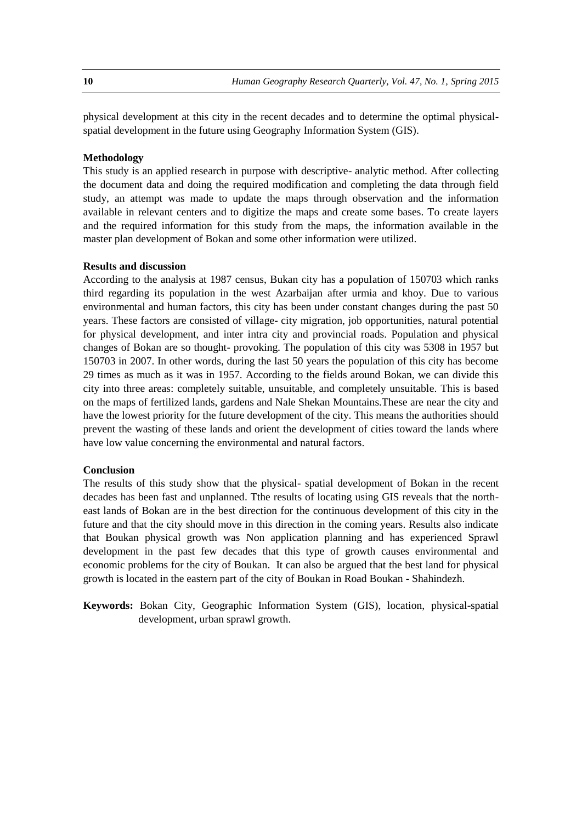physical development at this city in the recent decades and to determine the optimal physicalspatial development in the future using Geography Information System (GIS).

#### **Methodology**

This study is an applied research in purpose with descriptive- analytic method. After collecting the document data and doing the required modification and completing the data through field study, an attempt was made to update the maps through observation and the information available in relevant centers and to digitize the maps and create some bases. To create layers and the required information for this study from the maps, the information available in the master plan development of Bokan and some other information were utilized.

#### **Results and discussion**

According to the analysis at 1987 census, Bukan city has a population of 150703 which ranks third regarding its population in the west Azarbaijan after urmia and khoy. Due to various environmental and human factors, this city has been under constant changes during the past 50 years. These factors are consisted of village- city migration, job opportunities, natural potential for physical development, and inter intra city and provincial roads. Population and physical changes of Bokan are so thought- provoking. The population of this city was 5308 in 1957 but 150703 in 2007. In other words, during the last 50 years the population of this city has become 29 times as much as it was in 1957. According to the fields around Bokan, we can divide this city into three areas: completely suitable, unsuitable, and completely unsuitable. This is based on the maps of fertilized lands, gardens and Nale Shekan Mountains.These are near the city and have the lowest priority for the future development of the city. This means the authorities should prevent the wasting of these lands and orient the development of cities toward the lands where have low value concerning the environmental and natural factors.

## **Conclusion**

The results of this study show that the physical- spatial development of Bokan in the recent decades has been fast and unplanned. Tthe results of locating using GIS reveals that the northeast lands of Bokan are in the best direction for the continuous development of this city in the future and that the city should move in this direction in the coming years. Results also indicate that Boukan physical growth was Non application planning and has experienced Sprawl development in the past few decades that this type of growth causes environmental and economic problems for the city of Boukan. It can also be argued that the best land for physical growth is located in the eastern part of the city of Boukan in Road Boukan - Shahindezh.

**Keywords:** Bokan City, Geographic Information System (GIS), location, physical-spatial development, urban sprawl growth.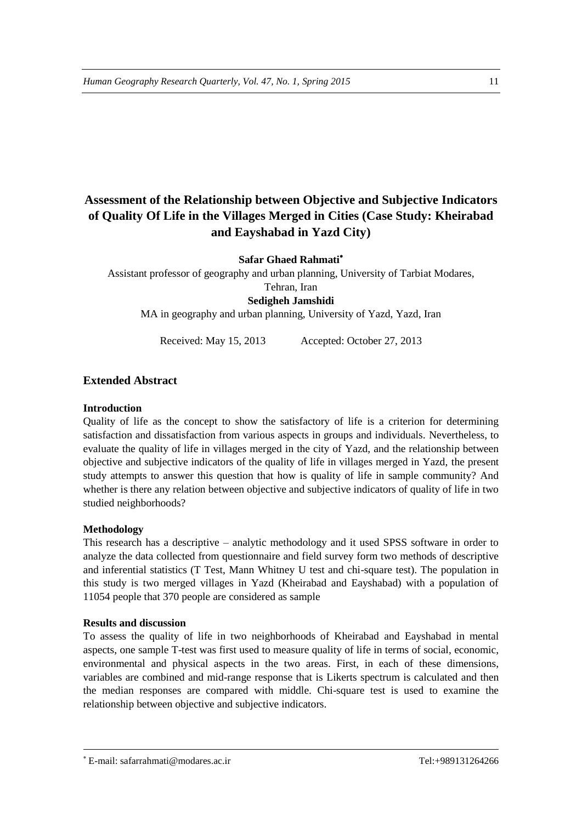# **Assessment of the Relationship between Objective and Subjective Indicators of Quality Of Life in the Villages Merged in Cities (Case Study: Kheirabad and Eayshabad in Yazd City)**

# **Safar Ghaed Rahmati**

Assistant professor of geography and urban planning, University of Tarbiat Modares, Tehran, Iran **Sedigheh Jamshidi** 

MA in geography and urban planning, University of Yazd, Yazd, Iran

Received: May 15, 2013 Accepted: October 27, 2013

# **Extended Abstract**

# **Introduction**

Quality of life as the concept to show the satisfactory of life is a criterion for determining satisfaction and dissatisfaction from various aspects in groups and individuals. Nevertheless, to evaluate the quality of life in villages merged in the city of Yazd, and the relationship between objective and subjective indicators of the quality of life in villages merged in Yazd, the present study attempts to answer this question that how is quality of life in sample community? And whether is there any relation between objective and subjective indicators of quality of life in two studied neighborhoods?

# **Methodology**

**.** 

This research has a descriptive – analytic methodology and it used SPSS software in order to analyze the data collected from questionnaire and field survey form two methods of descriptive and inferential statistics (T Test, Mann Whitney U test and chi-square test). The population in this study is two merged villages in Yazd (Kheirabad and Eayshabad) with a population of 11054 people that 370 people are considered as sample

## **Results and discussion**

To assess the quality of life in two neighborhoods of Kheirabad and Eayshabad in mental aspects, one sample T-test was first used to measure quality of life in terms of social, economic, environmental and physical aspects in the two areas. First, in each of these dimensions, variables are combined and mid-range response that is Likerts spectrum is calculated and then the median responses are compared with middle. Chi-square test is used to examine the relationship between objective and subjective indicators.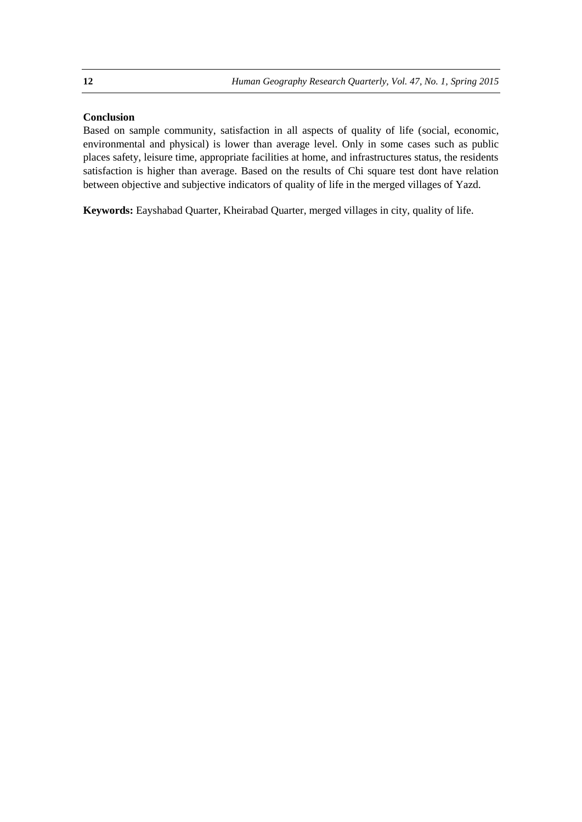# **Conclusion**

Based on sample community, satisfaction in all aspects of quality of life (social, economic, environmental and physical) is lower than average level. Only in some cases such as public places safety, leisure time, appropriate facilities at home, and infrastructures status, the residents satisfaction is higher than average. Based on the results of Chi square test dont have relation between objective and subjective indicators of quality of life in the merged villages of Yazd.

**Keywords:** Eayshabad Quarter, Kheirabad Quarter, merged villages in city, quality of life.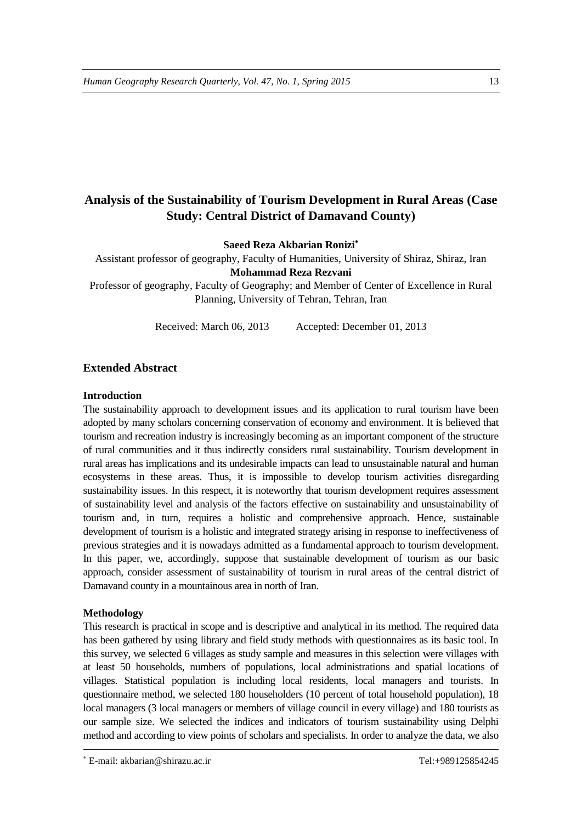# **Analysis of the Sustainability of Tourism Development in Rural Areas (Case Study: Central District of Damavand County)**

**Saeed Reza Akbarian Ronizi**

Assistant professor of geography, Faculty of Humanities, University of Shiraz, Shiraz, Iran **Mohammad Reza Rezvani**

Professor of geography, Faculty of Geography; and Member of Center of Excellence in Rural Planning, University of Tehran, Tehran, Iran

Received: March 06, 2013 Accepted: December 01, 2013

## **Extended Abstract**

#### **Introduction**

The sustainability approach to development issues and its application to rural tourism have been adopted by many scholars concerning conservation of economy and environment. It is believed that tourism and recreation industry is increasingly becoming as an important component of the structure of rural communities and it thus indirectly considers rural sustainability. Tourism development in rural areas has implications and its undesirable impacts can lead to unsustainable natural and human ecosystems in these areas. Thus, it is impossible to develop tourism activities disregarding sustainability issues. In this respect, it is noteworthy that tourism development requires assessment of sustainability level and analysis of the factors effective on sustainability and unsustainability of tourism and, in turn, requires a holistic and comprehensive approach. Hence, sustainable development of tourism is a holistic and integrated strategy arising in response to ineffectiveness of previous strategies and it is nowadays admitted as a fundamental approach to tourism development. In this paper, we, accordingly, suppose that sustainable development of tourism as our basic approach, consider assessment of sustainability of tourism in rural areas of the central district of Damavand county in a mountainous area in north of Iran.

#### **Methodology**

**.** 

This research is practical in scope and is descriptive and analytical in its method. The required data has been gathered by using library and field study methods with questionnaires as its basic tool. In this survey, we selected 6 villages as study sample and measures in this selection were villages with at least 50 households, numbers of populations, local administrations and spatial locations of villages. Statistical population is including local residents, local managers and tourists. In questionnaire method, we selected 180 householders (10 percent of total household population), 18 local managers (3 local managers or members of village council in every village) and 180 tourists as our sample size. We selected the indices and indicators of tourism sustainability using Delphi method and according to view points of scholars and specialists. In order to analyze the data, we also

E-mail: akbarian@shirazu.ac.ir Tel:+989125854245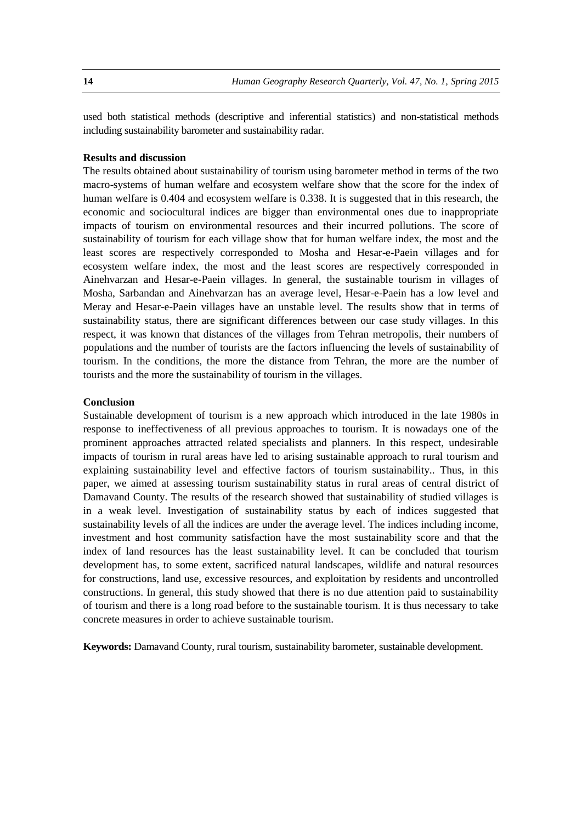used both statistical methods (descriptive and inferential statistics) and non-statistical methods including sustainability barometer and sustainability radar.

## **Results and discussion**

The results obtained about sustainability of tourism using barometer method in terms of the two macro-systems of human welfare and ecosystem welfare show that the score for the index of human welfare is 0.404 and ecosystem welfare is 0.338. It is suggested that in this research, the economic and sociocultural indices are bigger than environmental ones due to inappropriate impacts of tourism on environmental resources and their incurred pollutions. The score of sustainability of tourism for each village show that for human welfare index, the most and the least scores are respectively corresponded to Mosha and Hesar-e-Paein villages and for ecosystem welfare index, the most and the least scores are respectively corresponded in Ainehvarzan and Hesar-e-Paein villages. In general, the sustainable tourism in villages of Mosha, Sarbandan and Ainehvarzan has an average level, Hesar-e-Paein has a low level and Meray and Hesar-e-Paein villages have an unstable level. The results show that in terms of sustainability status, there are significant differences between our case study villages. In this respect, it was known that distances of the villages from Tehran metropolis, their numbers of populations and the number of tourists are the factors influencing the levels of sustainability of tourism. In the conditions, the more the distance from Tehran, the more are the number of tourists and the more the sustainability of tourism in the villages.

#### **Conclusion**

Sustainable development of tourism is a new approach which introduced in the late 1980s in response to ineffectiveness of all previous approaches to tourism. It is nowadays one of the prominent approaches attracted related specialists and planners. In this respect, undesirable impacts of tourism in rural areas have led to arising sustainable approach to rural tourism and explaining sustainability level and effective factors of tourism sustainability.. Thus, in this paper, we aimed at assessing tourism sustainability status in rural areas of central district of Damavand County. The results of the research showed that sustainability of studied villages is in a weak level. Investigation of sustainability status by each of indices suggested that sustainability levels of all the indices are under the average level. The indices including income, investment and host community satisfaction have the most sustainability score and that the index of land resources has the least sustainability level. It can be concluded that tourism development has, to some extent, sacrificed natural landscapes, wildlife and natural resources for constructions, land use, excessive resources, and exploitation by residents and uncontrolled constructions. In general, this study showed that there is no due attention paid to sustainability of tourism and there is a long road before to the sustainable tourism. It is thus necessary to take concrete measures in order to achieve sustainable tourism.

**Keywords:** Damavand County, rural tourism, sustainability barometer, sustainable development.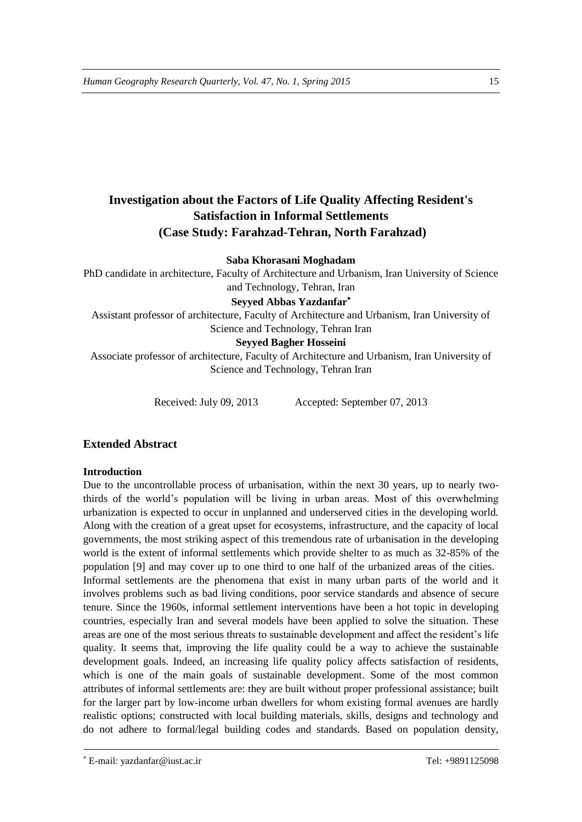# **Investigation about the Factors of Life Quality Affecting Resident's Satisfaction in Informal Settlements (Case Study: Farahzad-Tehran, North Farahzad)**

# **Saba Khorasani Moghadam**

PhD candidate in architecture, Faculty of Architecture and Urbanism, Iran University of Science and Technology, Tehran, Iran

# **Seyyed Abbas Yazdanfar**

Assistant professor of architecture, Faculty of Architecture and Urbanism, Iran University of Science and Technology, Tehran Iran

# **Seyyed Bagher Hosseini**

Associate professor of architecture, Faculty of Architecture and Urbanism, Iran University of Science and Technology, Tehran Iran

Received: July 09, 2013 Accepted: September 07, 2013

# **Extended Abstract**

## **Introduction**

Due to the uncontrollable process of urbanisation, within the next 30 years, up to nearly twothirds of the world's population will be living in urban areas. Most of this overwhelming urbanization is expected to occur in unplanned and underserved cities in the developing world. Along with the creation of a great upset for ecosystems, infrastructure, and the capacity of local governments, the most striking aspect of this tremendous rate of urbanisation in the developing world is the extent of informal settlements which provide shelter to as much as 32-85% of the population [9] and may cover up to one third to one half of the urbanized areas of the cities. Informal settlements are the phenomena that exist in many urban parts of the world and it involves problems such as bad living conditions, poor service standards and absence of secure tenure. Since the 1960s, informal settlement interventions have been a hot topic in developing countries, especially Iran and several models have been applied to solve the situation. These areas are one of the most serious threats to sustainable development and affect the resident's life quality. It seems that, improving the life quality could be a way to achieve the sustainable development goals. Indeed, an increasing life quality policy affects satisfaction of residents, which is one of the main goals of sustainable development. Some of the most common attributes of informal settlements are: they are built without proper professional assistance; built for the larger part by low-income urban dwellers for whom existing formal avenues are hardly realistic options; constructed with local building materials, skills, designs and technology and do not adhere to formal/legal building codes and standards. Based on population density,

E-mail: yazdanfar@iust.ac.ir Tel: +9891125098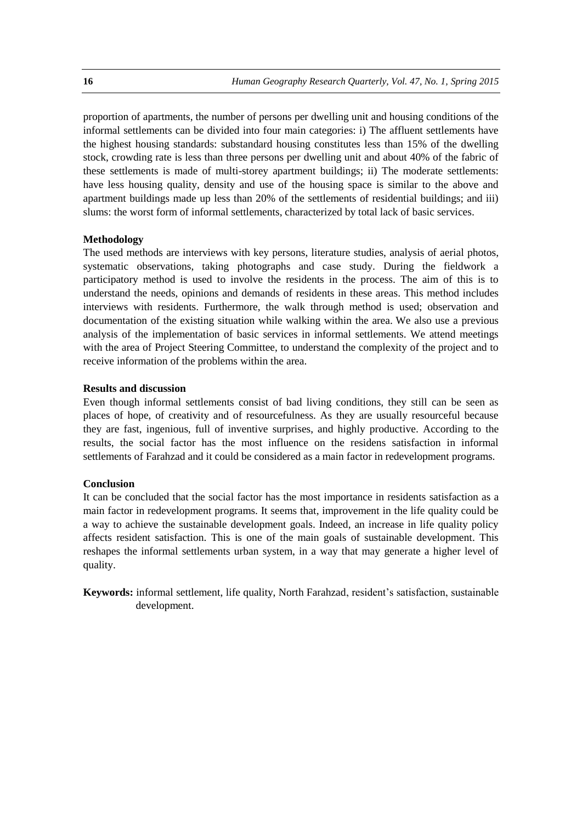proportion of apartments, the number of persons per dwelling unit and housing conditions of the informal settlements can be divided into four main categories: i) The affluent settlements have the highest housing standards: substandard housing constitutes less than 15% of the dwelling stock, crowding rate is less than three persons per dwelling unit and about 40% of the fabric of these settlements is made of multi-storey apartment buildings; ii) The moderate settlements: have less housing quality, density and use of the housing space is similar to the above and apartment buildings made up less than 20% of the settlements of residential buildings; and iii) slums: the worst form of informal settlements, characterized by total lack of basic services.

#### **Methodology**

The used methods are interviews with key persons, literature studies, analysis of aerial photos, systematic observations, taking photographs and case study. During the fieldwork a participatory method is used to involve the residents in the process. The aim of this is to understand the needs, opinions and demands of residents in these areas. This method includes interviews with residents. Furthermore, the walk through method is used; observation and documentation of the existing situation while walking within the area. We also use a previous analysis of the implementation of basic services in informal settlements. We attend meetings with the area of Project Steering Committee, to understand the complexity of the project and to receive information of the problems within the area.

#### **Results and discussion**

Even though informal settlements consist of bad living conditions, they still can be seen as places of hope, of creativity and of resourcefulness. As they are usually resourceful because they are fast, ingenious, full of inventive surprises, and highly productive. According to the results, the social factor has the most influence on the residens satisfaction in informal settlements of Farahzad and it could be considered as a main factor in redevelopment programs.

#### **Conclusion**

It can be concluded that the social factor has the most importance in residents satisfaction as a main factor in redevelopment programs. It seems that, improvement in the life quality could be a way to achieve the sustainable development goals. Indeed, an increase in life quality policy affects resident satisfaction. This is one of the main goals of sustainable development. This reshapes the informal settlements urban system, in a way that may generate a higher level of quality.

**Keywords:** informal settlement, life quality, North Farahzad, resident's satisfaction, sustainable development.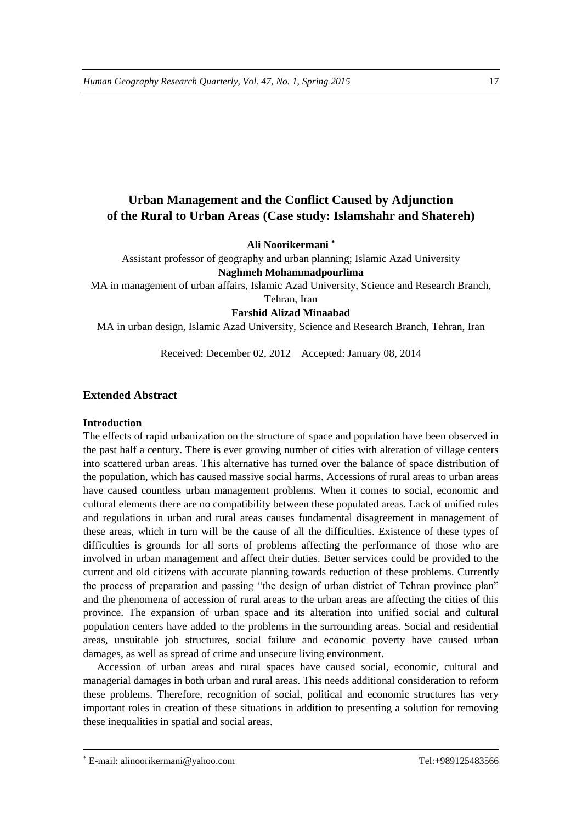# **Urban Management and the Conflict Caused by Adjunction of the Rural to Urban Areas (Case study: Islamshahr and Shatereh)**

**Ali Noorikermani**

Assistant professor of geography and urban planning; Islamic Azad University **Naghmeh Mohammadpourlima**

MA in management of urban affairs, Islamic Azad University, Science and Research Branch,

Tehran, Iran

**Farshid Alizad Minaabad**

MA in urban design, Islamic Azad University, Science and Research Branch, Tehran, Iran

Received: December 02, 2012 Accepted: January 08, 2014

# **Extended Abstract**

## **Introduction**

The effects of rapid urbanization on the structure of space and population have been observed in the past half a century. There is ever growing number of cities with alteration of village centers into scattered urban areas. This alternative has turned over the balance of space distribution of the population, which has caused massive social harms. Accessions of rural areas to urban areas have caused countless urban management problems. When it comes to social, economic and cultural elements there are no compatibility between these populated areas. Lack of unified rules and regulations in urban and rural areas causes fundamental disagreement in management of these areas, which in turn will be the cause of all the difficulties. Existence of these types of difficulties is grounds for all sorts of problems affecting the performance of those who are involved in urban management and affect their duties. Better services could be provided to the current and old citizens with accurate planning towards reduction of these problems. Currently the process of preparation and passing "the design of urban district of Tehran province plan" and the phenomena of accession of rural areas to the urban areas are affecting the cities of this province. The expansion of urban space and its alteration into unified social and cultural population centers have added to the problems in the surrounding areas. Social and residential areas, unsuitable job structures, social failure and economic poverty have caused urban damages, as well as spread of crime and unsecure living environment.

Accession of urban areas and rural spaces have caused social, economic, cultural and managerial damages in both urban and rural areas. This needs additional consideration to reform these problems. Therefore, recognition of social, political and economic structures has very important roles in creation of these situations in addition to presenting a solution for removing these inequalities in spatial and social areas.

E-mail: alinoorikermani@yahoo.com Tel:+989125483566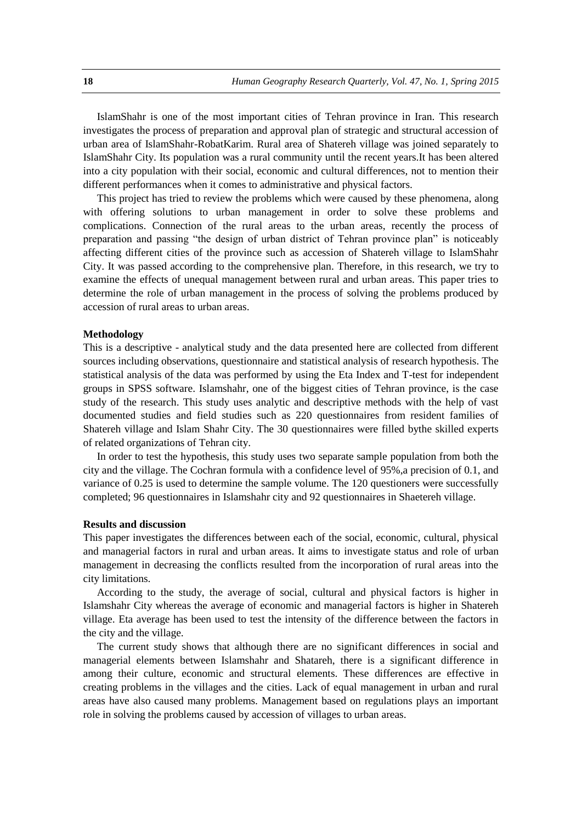IslamShahr is one of the most important cities of Tehran province in Iran. This research investigates the process of preparation and approval plan of strategic and structural accession of urban area of IslamShahr-RobatKarim. Rural area of Shatereh village was joined separately to IslamShahr City. Its population was a rural community until the recent years.It has been altered into a city population with their social, economic and cultural differences, not to mention their different performances when it comes to administrative and physical factors.

This project has tried to review the problems which were caused by these phenomena, along with offering solutions to urban management in order to solve these problems and complications. Connection of the rural areas to the urban areas, recently the process of preparation and passing "the design of urban district of Tehran province plan" is noticeably affecting different cities of the province such as accession of Shatereh village to IslamShahr City. It was passed according to the comprehensive plan. Therefore, in this research, we try to examine the effects of unequal management between rural and urban areas. This paper tries to determine the role of urban management in the process of solving the problems produced by accession of rural areas to urban areas.

#### **Methodology**

This is a descriptive - analytical study and the data presented here are collected from different sources including observations, questionnaire and statistical analysis of research hypothesis. The statistical analysis of the data was performed by using the Eta Index and T-test for independent groups in SPSS software. Islamshahr, one of the biggest cities of Tehran province, is the case study of the research. This study uses analytic and descriptive methods with the help of vast documented studies and field studies such as 220 questionnaires from resident families of Shatereh village and Islam Shahr City. The 30 questionnaires were filled bythe skilled experts of related organizations of Tehran city.

In order to test the hypothesis, this study uses two separate sample population from both the city and the village. The Cochran formula with a confidence level of 95%,a precision of 0.1, and variance of 0.25 is used to determine the sample volume. The 120 questioners were successfully completed; 96 questionnaires in Islamshahr city and 92 questionnaires in Shaetereh village.

#### **Results and discussion**

This paper investigates the differences between each of the social, economic, cultural, physical and managerial factors in rural and urban areas. It aims to investigate status and role of urban management in decreasing the conflicts resulted from the incorporation of rural areas into the city limitations.

According to the study, the average of social, cultural and physical factors is higher in Islamshahr City whereas the average of economic and managerial factors is higher in Shatereh village. Eta average has been used to test the intensity of the difference between the factors in the city and the village.

The current study shows that although there are no significant differences in social and managerial elements between Islamshahr and Shatareh, there is a significant difference in among their culture, economic and structural elements. These differences are effective in creating problems in the villages and the cities. Lack of equal management in urban and rural areas have also caused many problems. Management based on regulations plays an important role in solving the problems caused by accession of villages to urban areas.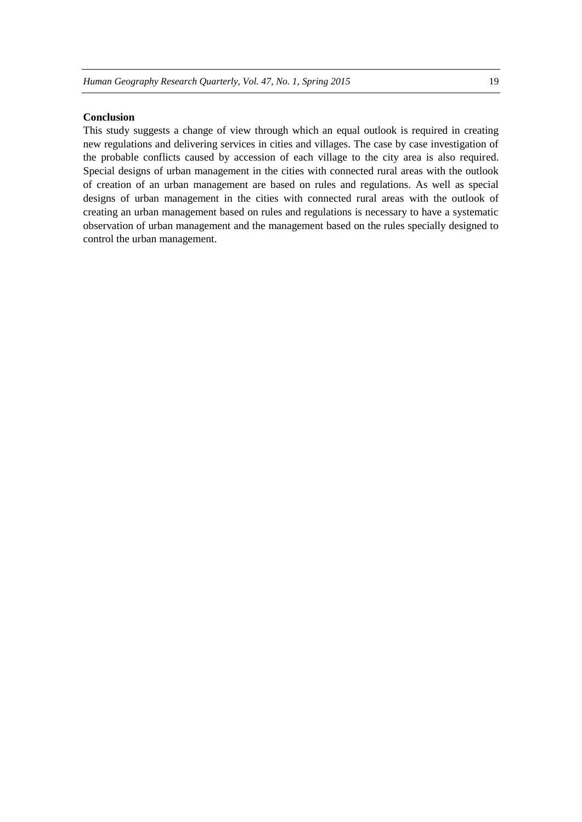## **Conclusion**

This study suggests a change of view through which an equal outlook is required in creating new regulations and delivering services in cities and villages. The case by case investigation of the probable conflicts caused by accession of each village to the city area is also required. Special designs of urban management in the cities with connected rural areas with the outlook of creation of an urban management are based on rules and regulations. As well as special designs of urban management in the cities with connected rural areas with the outlook of creating an urban management based on rules and regulations is necessary to have a systematic observation of urban management and the management based on the rules specially designed to control the urban management.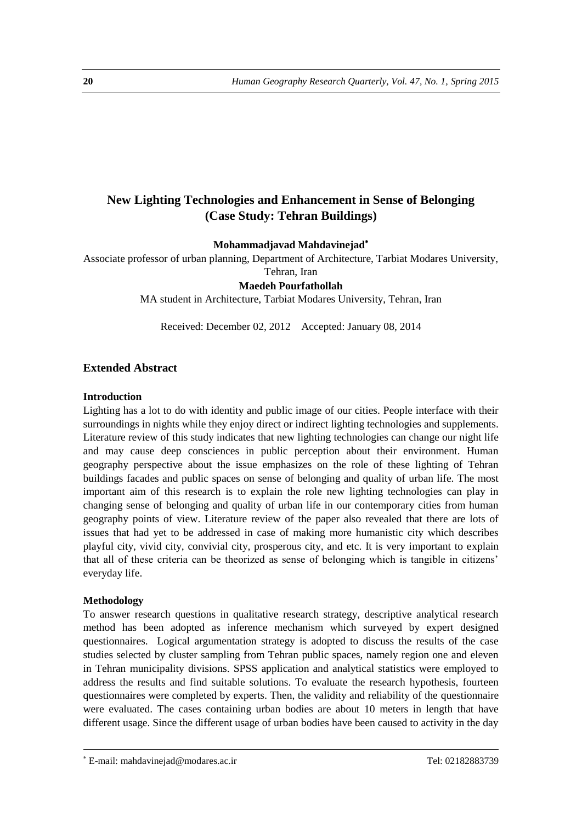# **New Lighting Technologies and Enhancement in Sense of Belonging (Case Study: Tehran Buildings)**

**Mohammadjavad Mahdavinejad**

Associate professor of urban planning, Department of Architecture, Tarbiat Modares University, Tehran, Iran

**Maedeh Pourfathollah** 

MA student in Architecture, Tarbiat Modares University, Tehran, Iran

Received: December 02, 2012 Accepted: January 08, 2014

# **Extended Abstract**

#### **Introduction**

Lighting has a lot to do with identity and public image of our cities. People interface with their surroundings in nights while they enjoy direct or indirect lighting technologies and supplements. Literature review of this study indicates that new lighting technologies can change our night life and may cause deep consciences in public perception about their environment. Human geography perspective about the issue emphasizes on the role of these lighting of Tehran buildings facades and public spaces on sense of belonging and quality of urban life. The most important aim of this research is to explain the role new lighting technologies can play in changing sense of belonging and quality of urban life in our contemporary cities from human geography points of view. Literature review of the paper also revealed that there are lots of issues that had yet to be addressed in case of making more humanistic city which describes playful city, vivid city, convivial city, prosperous city, and etc. It is very important to explain that all of these criteria can be theorized as sense of belonging which is tangible in citizens' everyday life.

## **Methodology**

**.** 

To answer research questions in qualitative research strategy, descriptive analytical research method has been adopted as inference mechanism which surveyed by expert designed questionnaires. Logical argumentation strategy is adopted to discuss the results of the case studies selected by cluster sampling from Tehran public spaces, namely region one and eleven in Tehran municipality divisions. SPSS application and analytical statistics were employed to address the results and find suitable solutions. To evaluate the research hypothesis, fourteen questionnaires were completed by experts. Then, the validity and reliability of the questionnaire were evaluated. The cases containing urban bodies are about 10 meters in length that have different usage. Since the different usage of urban bodies have been caused to activity in the day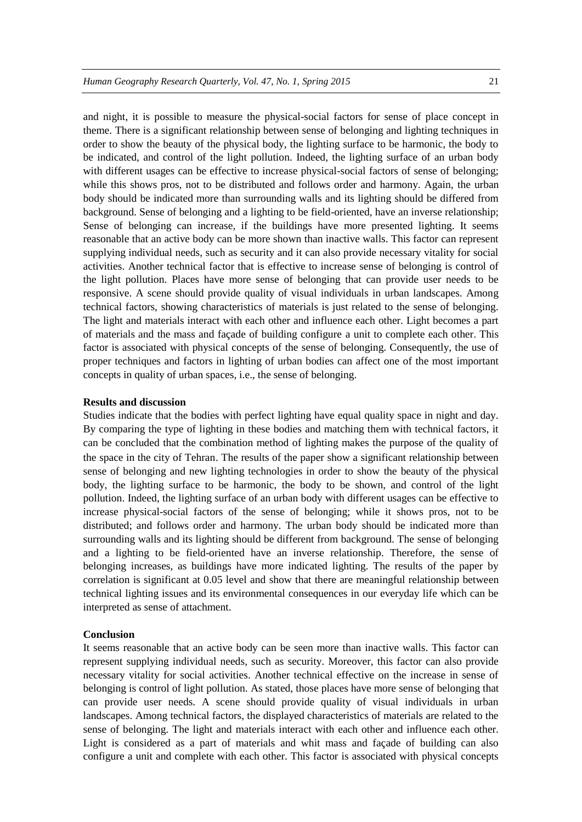and night, it is possible to measure the physical-social factors for sense of place concept in theme. There is a significant relationship between sense of belonging and lighting techniques in order to show the beauty of the physical body, the lighting surface to be harmonic, the body to be indicated, and control of the light pollution. Indeed, the lighting surface of an urban body with different usages can be effective to increase physical-social factors of sense of belonging; while this shows pros, not to be distributed and follows order and harmony. Again, the urban body should be indicated more than surrounding walls and its lighting should be differed from background. Sense of belonging and a lighting to be field-oriented, have an inverse relationship; Sense of belonging can increase, if the buildings have more presented lighting. It seems reasonable that an active body can be more shown than inactive walls. This factor can represent supplying individual needs, such as security and it can also provide necessary vitality for social activities. Another technical factor that is effective to increase sense of belonging is control of the light pollution. Places have more sense of belonging that can provide user needs to be responsive. A scene should provide quality of visual individuals in urban landscapes. Among technical factors, showing characteristics of materials is just related to the sense of belonging. The light and materials interact with each other and influence each other. Light becomes a part of materials and the mass and façade of building configure a unit to complete each other. This factor is associated with physical concepts of the sense of belonging. Consequently, the use of proper techniques and factors in lighting of urban bodies can affect one of the most important concepts in quality of urban spaces, i.e., the sense of belonging.

#### **Results and discussion**

Studies indicate that the bodies with perfect lighting have equal quality space in night and day. By comparing the type of lighting in these bodies and matching them with technical factors, it can be concluded that the combination method of lighting makes the purpose of the quality of the space in the city of Tehran. The results of the paper show a significant relationship between sense of belonging and new lighting technologies in order to show the beauty of the physical body, the lighting surface to be harmonic, the body to be shown, and control of the light pollution. Indeed, the lighting surface of an urban body with different usages can be effective to increase physical-social factors of the sense of belonging; while it shows pros, not to be distributed; and follows order and harmony. The urban body should be indicated more than surrounding walls and its lighting should be different from background. The sense of belonging and a lighting to be field-oriented have an inverse relationship. Therefore, the sense of belonging increases, as buildings have more indicated lighting. The results of the paper by correlation is significant at 0.05 level and show that there are meaningful relationship between technical lighting issues and its environmental consequences in our everyday life which can be interpreted as sense of attachment.

#### **Conclusion**

It seems reasonable that an active body can be seen more than inactive walls. This factor can represent supplying individual needs, such as security. Moreover, this factor can also provide necessary vitality for social activities. Another technical effective on the increase in sense of belonging is control of light pollution. As stated, those places have more sense of belonging that can provide user needs. A scene should provide quality of visual individuals in urban landscapes. Among technical factors, the displayed characteristics of materials are related to the sense of belonging. The light and materials interact with each other and influence each other. Light is considered as a part of materials and whit mass and façade of building can also configure a unit and complete with each other. This factor is associated with physical concepts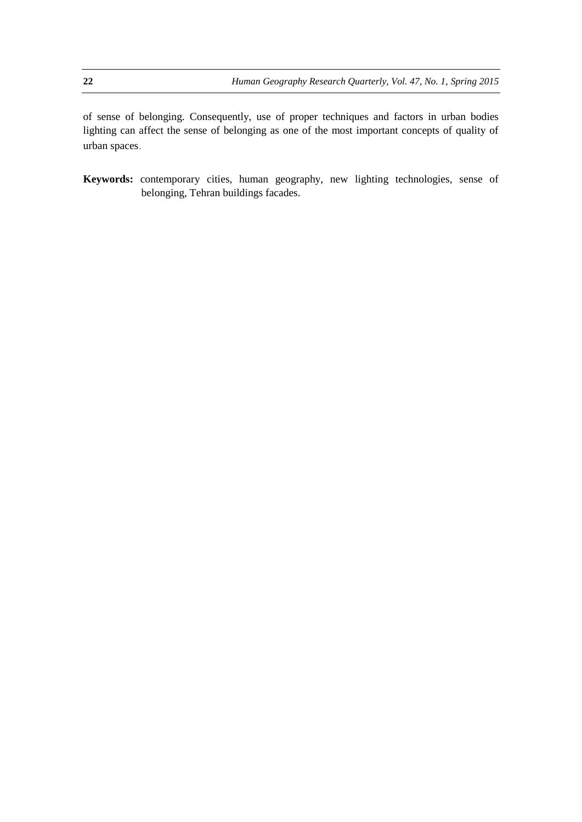of sense of belonging. Consequently, use of proper techniques and factors in urban bodies lighting can affect the sense of belonging as one of the most important concepts of quality of urban spaces.

**Keywords:** contemporary cities, human geography, new lighting technologies, sense of belonging, Tehran buildings facades.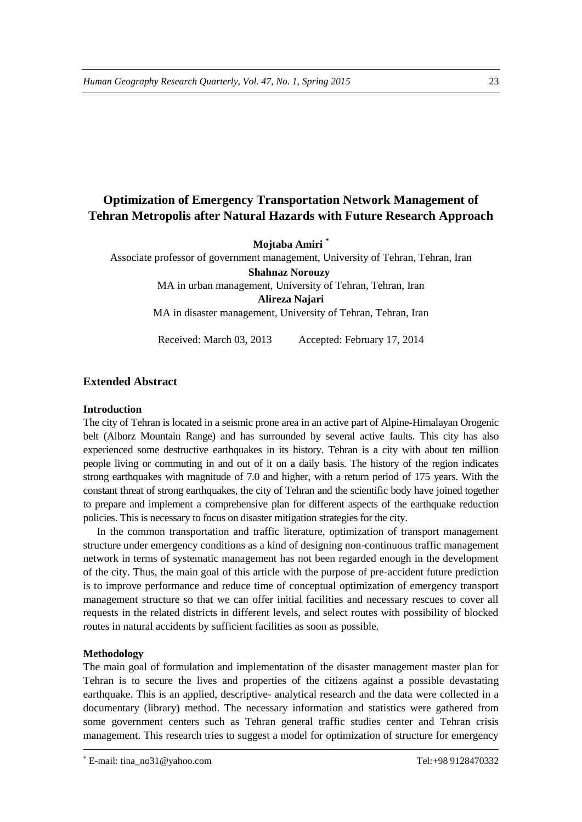# **Optimization of Emergency Transportation Network Management of Tehran Metropolis after Natural Hazards with Future Research Approach**

**Mojtaba Amiri \***

Associate professor of government management, University of Tehran, Tehran, Iran **Shahnaz Norouzy** MA in urban management, University of Tehran, Tehran, Iran **Alireza Najari** 

MA in disaster management, University of Tehran, Tehran, Iran

Received: March 03, 2013 Accepted: February 17, 2014

## **Extended Abstract**

#### **Introduction**

The city of Tehran is located in a seismic prone area in an active part of Alpine-Himalayan Orogenic belt (Alborz Mountain Range) and has surrounded by several active faults. This city has also experienced some destructive earthquakes in its history. Tehran is a city with about ten million people living or commuting in and out of it on a daily basis. The history of the region indicates strong earthquakes with magnitude of 7.0 and higher, with a return period of 175 years. With the constant threat of strong earthquakes, the city of Tehran and the scientific body have joined together to prepare and implement a comprehensive plan for different aspects of the earthquake reduction policies. This is necessary to focus on disaster mitigation strategies for the city.

In the common transportation and traffic literature, optimization of transport management structure under emergency conditions as a kind of designing non-continuous traffic management network in terms of systematic management has not been regarded enough in the development of the city. Thus, the main goal of this article with the purpose of pre-accident future prediction is to improve performance and reduce time of conceptual optimization of emergency transport management structure so that we can offer initial facilities and necessary rescues to cover all requests in the related districts in different levels, and select routes with possibility of blocked routes in natural accidents by sufficient facilities as soon as possible.

#### **Methodology**

**.** 

The main goal of formulation and implementation of the disaster management master plan for Tehran is to secure the lives and properties of the citizens against a possible devastating earthquake. This is an applied, descriptive- analytical research and the data were collected in a documentary (library) method. The necessary information and statistics were gathered from some government centers such as Tehran general traffic studies center and Tehran crisis management. This research tries to suggest a model for optimization of structure for emergency

E-mail: tina\_no31@yahoo.com Tel:+98 9128470332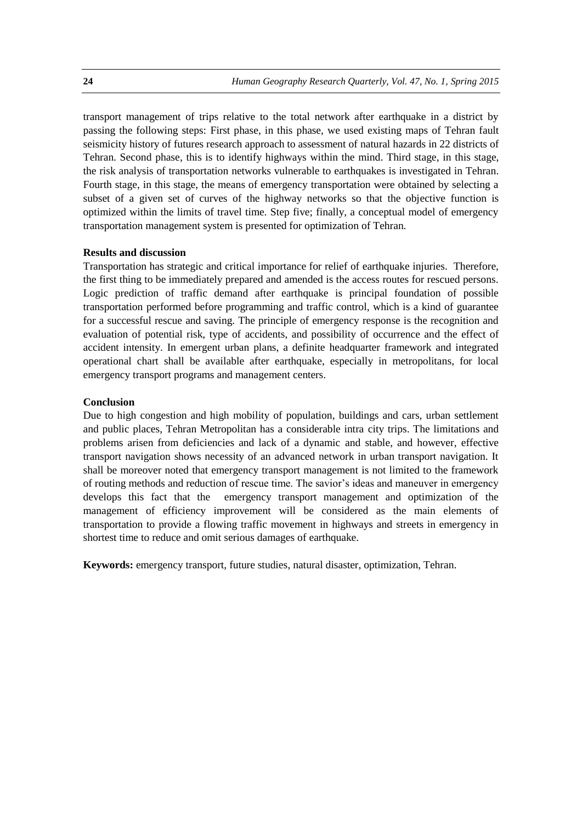transport management of trips relative to the total network after earthquake in a district by passing the following steps: First phase, in this phase, we used existing maps of Tehran fault seismicity history of futures research approach to assessment of natural hazards in 22 districts of Tehran. Second phase, this is to identify highways within the mind. Third stage, in this stage, the risk analysis of transportation networks vulnerable to earthquakes is investigated in Tehran. Fourth stage, in this stage, the means of emergency transportation were obtained by selecting a subset of a given set of curves of the highway networks so that the objective function is optimized within the limits of travel time. Step five; finally, a conceptual model of emergency transportation management system is presented for optimization of Tehran.

## **Results and discussion**

Transportation has strategic and critical importance for relief of earthquake injuries. Therefore, the first thing to be immediately prepared and amended is the access routes for rescued persons. Logic prediction of traffic demand after earthquake is principal foundation of possible transportation performed before programming and traffic control, which is a kind of guarantee for a successful rescue and saving. The principle of emergency response is the recognition and evaluation of potential risk, type of accidents, and possibility of occurrence and the effect of accident intensity. In emergent urban plans, a definite headquarter framework and integrated operational chart shall be available after earthquake, especially in metropolitans, for local emergency transport programs and management centers.

## **Conclusion**

Due to high congestion and high mobility of population, buildings and cars, urban settlement and public places, Tehran Metropolitan has a considerable intra city trips. The limitations and problems arisen from deficiencies and lack of a dynamic and stable, and however, effective transport navigation shows necessity of an advanced network in urban transport navigation. It shall be moreover noted that emergency transport management is not limited to the framework of routing methods and reduction of rescue time. The savior's ideas and maneuver in emergency develops this fact that the emergency transport management and optimization of the management of efficiency improvement will be considered as the main elements of transportation to provide a flowing traffic movement in highways and streets in emergency in shortest time to reduce and omit serious damages of earthquake.

**Keywords:** emergency transport, future studies, natural disaster, optimization, Tehran.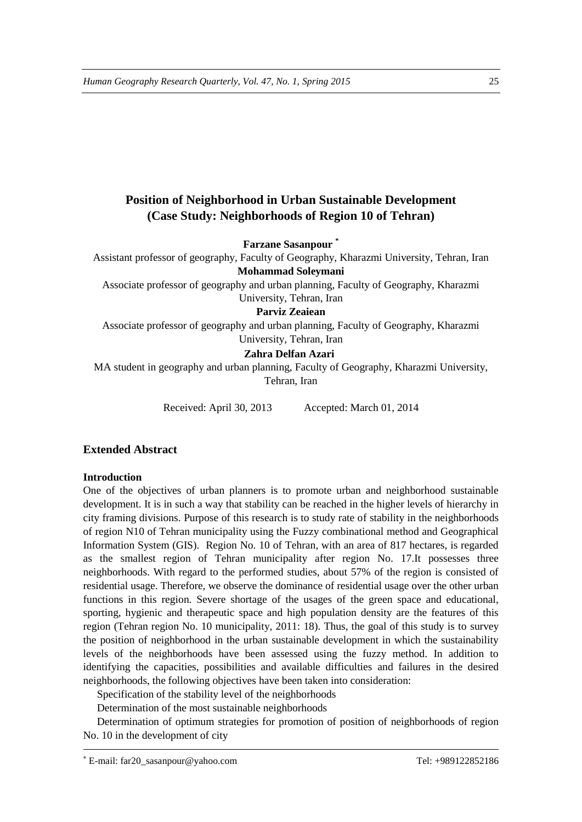# **Position of Neighborhood in Urban Sustainable Development (Case Study: Neighborhoods of Region 10 of Tehran)**

**Farzane Sasanpour \***

Assistant professor of geography, Faculty of Geography, Kharazmi University, Tehran, Iran **Mohammad Soleymani** 

Associate professor of geography and urban planning, Faculty of Geography, Kharazmi University, Tehran, Iran

**Parviz Zeaiean** 

Associate professor of geography and urban planning, Faculty of Geography, Kharazmi University, Tehran, Iran

# **Zahra Delfan Azari**

MA student in geography and urban planning, Faculty of Geography, Kharazmi University, Tehran, Iran

Received: April 30, 2013 Accepted: March 01, 2014

# **Extended Abstract**

## **Introduction**

One of the objectives of urban planners is to promote urban and neighborhood sustainable development. It is in such a way that stability can be reached in the higher levels of hierarchy in city framing divisions. Purpose of this research is to study rate of stability in the neighborhoods of region N10 of Tehran municipality using the Fuzzy combinational method and Geographical Information System (GIS). Region No. 10 of Tehran, with an area of 817 hectares, is regarded as the smallest region of Tehran municipality after region No. 17.It possesses three neighborhoods. With regard to the performed studies, about 57% of the region is consisted of residential usage. Therefore, we observe the dominance of residential usage over the other urban functions in this region. Severe shortage of the usages of the green space and educational, sporting, hygienic and therapeutic space and high population density are the features of this region (Tehran region No. 10 municipality, 2011: 18). Thus, the goal of this study is to survey the position of neighborhood in the urban sustainable development in which the sustainability levels of the neighborhoods have been assessed using the fuzzy method. In addition to identifying the capacities, possibilities and available difficulties and failures in the desired neighborhoods, the following objectives have been taken into consideration:

Specification of the stability level of the neighborhoods

Determination of the most sustainable neighborhoods

Determination of optimum strategies for promotion of position of neighborhoods of region No. 10 in the development of city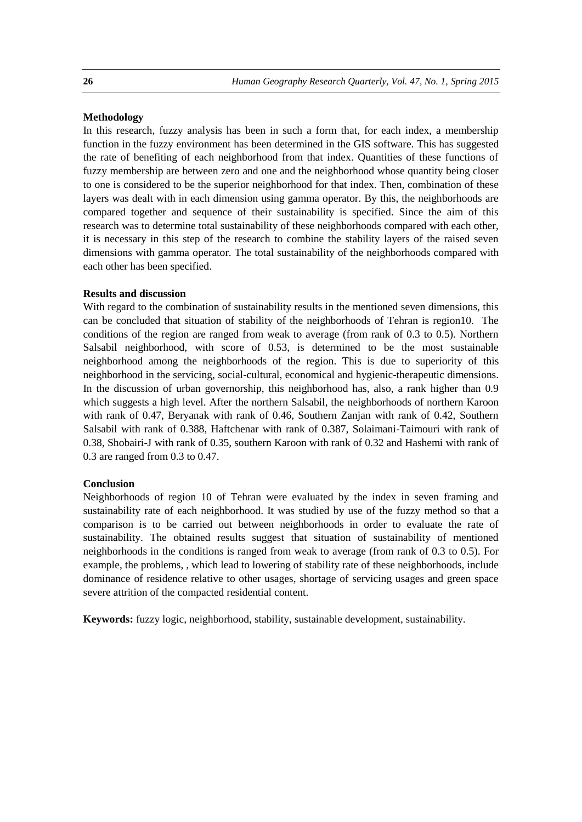#### **Methodology**

In this research, fuzzy analysis has been in such a form that, for each index, a membership function in the fuzzy environment has been determined in the GIS software. This has suggested the rate of benefiting of each neighborhood from that index. Quantities of these functions of fuzzy membership are between zero and one and the neighborhood whose quantity being closer to one is considered to be the superior neighborhood for that index. Then, combination of these layers was dealt with in each dimension using gamma operator. By this, the neighborhoods are compared together and sequence of their sustainability is specified. Since the aim of this research was to determine total sustainability of these neighborhoods compared with each other, it is necessary in this step of the research to combine the stability layers of the raised seven dimensions with gamma operator. The total sustainability of the neighborhoods compared with each other has been specified.

#### **Results and discussion**

With regard to the combination of sustainability results in the mentioned seven dimensions, this can be concluded that situation of stability of the neighborhoods of Tehran is region10. The conditions of the region are ranged from weak to average (from rank of 0.3 to 0.5). Northern Salsabil neighborhood, with score of 0.53, is determined to be the most sustainable neighborhood among the neighborhoods of the region. This is due to superiority of this neighborhood in the servicing, social-cultural, economical and hygienic-therapeutic dimensions. In the discussion of urban governorship, this neighborhood has, also, a rank higher than 0.9 which suggests a high level. After the northern Salsabil, the neighborhoods of northern Karoon with rank of 0.47, Beryanak with rank of 0.46, Southern Zanjan with rank of 0.42, Southern Salsabil with rank of 0.388, Haftchenar with rank of 0.387, Solaimani-Taimouri with rank of 0.38, Shobairi-J with rank of 0.35, southern Karoon with rank of 0.32 and Hashemi with rank of 0.3 are ranged from 0.3 to 0.47.

#### **Conclusion**

Neighborhoods of region 10 of Tehran were evaluated by the index in seven framing and sustainability rate of each neighborhood. It was studied by use of the fuzzy method so that a comparison is to be carried out between neighborhoods in order to evaluate the rate of sustainability. The obtained results suggest that situation of sustainability of mentioned neighborhoods in the conditions is ranged from weak to average (from rank of 0.3 to 0.5). For example, the problems, , which lead to lowering of stability rate of these neighborhoods, include dominance of residence relative to other usages, shortage of servicing usages and green space severe attrition of the compacted residential content.

**Keywords:** fuzzy logic, neighborhood, stability, sustainable development, sustainability.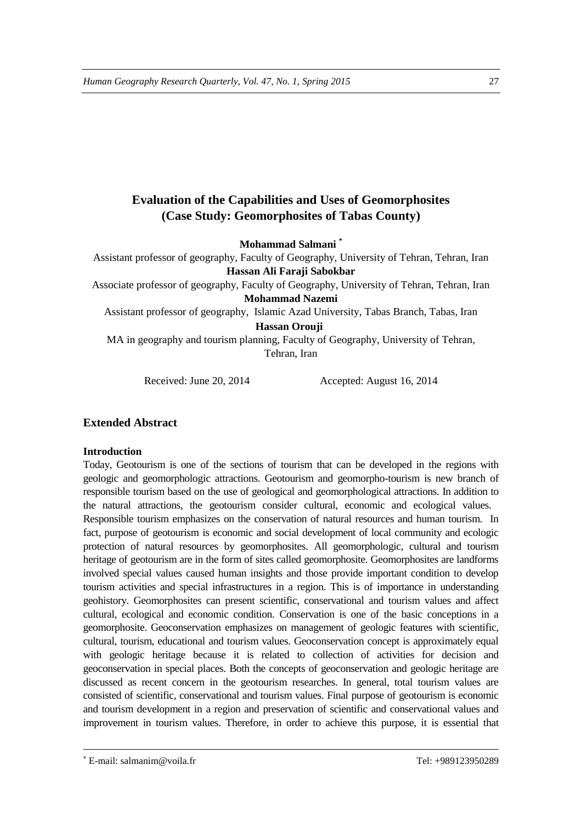# **Evaluation of the Capabilities and Uses of Geomorphosites (Case Study: Geomorphosites of Tabas County)**

**Mohammad Salmani \***

Assistant professor of geography, Faculty of Geography, University of Tehran, Tehran, Iran **Hassan Ali Faraji Sabokbar**

Associate professor of geography, Faculty of Geography, University of Tehran, Tehran, Iran **Mohammad Nazemi** 

Assistant professor of geography, Islamic Azad University, Tabas Branch, Tabas, Iran **Hassan Orouji**

MA in geography and tourism planning, Faculty of Geography, University of Tehran, Tehran, Iran

Received: June 20, 2014 Accepted: August 16, 2014

# **Extended Abstract**

## **Introduction**

Today, Geotourism is one of the sections of tourism that can be developed in the regions with geologic and geomorphologic attractions. Geotourism and geomorpho-tourism is new branch of responsible tourism based on the use of geological and geomorphological attractions. In addition to the natural attractions, the geotourism consider cultural, economic and ecological values. Responsible tourism emphasizes on the conservation of natural resources and human tourism. In fact, purpose of geotourism is economic and social development of local community and ecologic protection of natural resources by geomorphosites. All geomorphologic, cultural and tourism heritage of geotourism are in the form of sites called geomorphosite. Geomorphosites are landforms involved special values caused human insights and those provide important condition to develop tourism activities and special infrastructures in a region. This is of importance in understanding geohistory. Geomorphosites can present scientific, conservational and tourism values and affect cultural, ecological and economic condition. Conservation is one of the basic conceptions in a geomorphosite. Geoconservation emphasizes on management of geologic features with scientific, cultural, tourism, educational and tourism values. Geoconservation concept is approximately equal with geologic heritage because it is related to collection of activities for decision and geoconservation in special places. Both the concepts of geoconservation and geologic heritage are discussed as recent concern in the geotourism researches. In general, total tourism values are consisted of scientific, conservational and tourism values. Final purpose of geotourism is economic and tourism development in a region and preservation of scientific and conservational values and improvement in tourism values. Therefore, in order to achieve this purpose, it is essential that

E-mail: salmanim@voila.fr Tel: +989123950289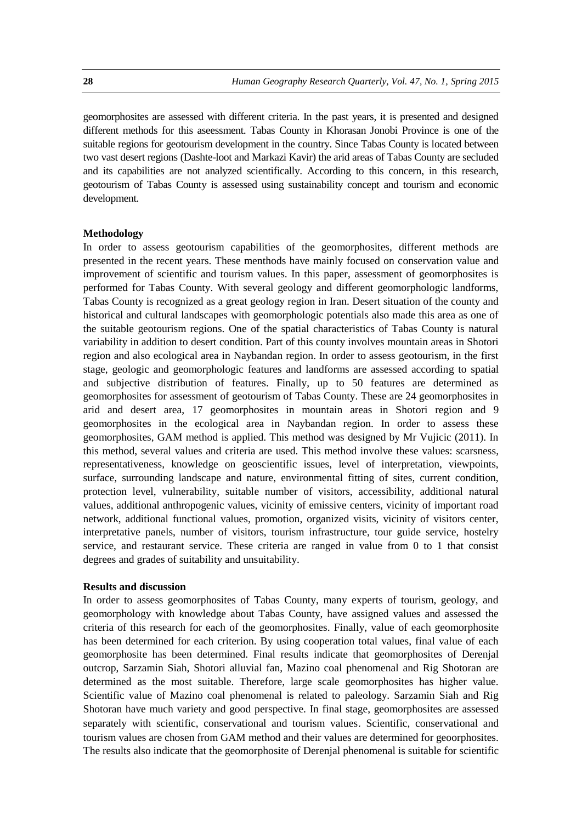geomorphosites are assessed with different criteria. In the past years, it is presented and designed different methods for this aseessment. Tabas County in Khorasan Jonobi Province is one of the suitable regions for geotourism development in the country. Since Tabas County is located between two vast desert regions (Dashte-loot and Markazi Kavir) the arid areas of Tabas County are secluded and its capabilities are not analyzed scientifically. According to this concern, in this research, geotourism of Tabas County is assessed using sustainability concept and tourism and economic development.

#### **Methodology**

In order to assess geotourism capabilities of the geomorphosites, different methods are presented in the recent years. These menthods have mainly focused on conservation value and improvement of scientific and tourism values. In this paper, assessment of geomorphosites is performed for Tabas County. With several geology and different geomorphologic landforms, Tabas County is recognized as a great geology region in Iran. Desert situation of the county and historical and cultural landscapes with geomorphologic potentials also made this area as one of the suitable geotourism regions. One of the spatial characteristics of Tabas County is natural variability in addition to desert condition. Part of this county involves mountain areas in Shotori region and also ecological area in Naybandan region. In order to assess geotourism, in the first stage, geologic and geomorphologic features and landforms are assessed according to spatial and subjective distribution of features. Finally, up to 50 features are determined as geomorphosites for assessment of geotourism of Tabas County. These are 24 geomorphosites in arid and desert area, 17 geomorphosites in mountain areas in Shotori region and 9 geomorphosites in the ecological area in Naybandan region. In order to assess these geomorphosites, GAM method is applied. This method was designed by Mr Vujicic (2011). In this method, several values and criteria are used. This method involve these values: scarsness, representativeness, knowledge on geoscientific issues, level of interpretation, viewpoints, surface, surrounding landscape and nature, environmental fitting of sites, current condition, protection level, vulnerability, suitable number of visitors, accessibility, additional natural values, additional anthropogenic values, vicinity of emissive centers, vicinity of important road network, additional functional values, promotion, organized visits, vicinity of visitors center, interpretative panels, number of visitors, tourism infrastructure, tour guide service, hostelry service, and restaurant service. These criteria are ranged in value from 0 to 1 that consist degrees and grades of suitability and unsuitability.

#### **Results and discussion**

In order to assess geomorphosites of Tabas County, many experts of tourism, geology, and geomorphology with knowledge about Tabas County, have assigned values and assessed the criteria of this research for each of the geomorphosites. Finally, value of each geomorphosite has been determined for each criterion. By using cooperation total values, final value of each geomorphosite has been determined. Final results indicate that geomorphosites of Derenjal outcrop, Sarzamin Siah, Shotori alluvial fan, Mazino coal phenomenal and Rig Shotoran are determined as the most suitable. Therefore, large scale geomorphosites has higher value. Scientific value of Mazino coal phenomenal is related to paleology. Sarzamin Siah and Rig Shotoran have much variety and good perspective. In final stage, geomorphosites are assessed separately with scientific, conservational and tourism values. Scientific, conservational and tourism values are chosen from GAM method and their values are determined for geoorphosites. The results also indicate that the geomorphosite of Derenjal phenomenal is suitable for scientific